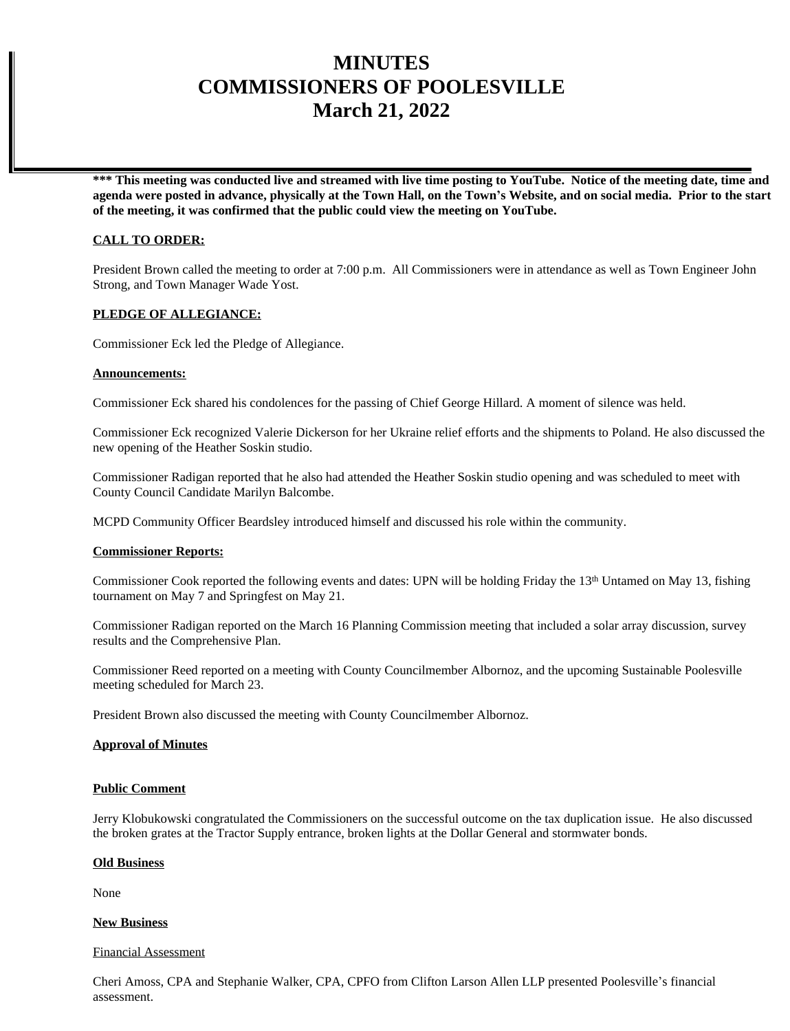# **MINUTES COMMISSIONERS OF POOLESVILLE March 21, 2022**

**\*\*\* This meeting was conducted live and streamed with live time posting to YouTube. Notice of the meeting date, time and agenda were posted in advance, physically at the Town Hall, on the Town's Website, and on social media. Prior to the start of the meeting, it was confirmed that the public could view the meeting on YouTube.**

# **CALL TO ORDER:**

President Brown called the meeting to order at 7:00 p.m. All Commissioners were in attendance as well as Town Engineer John Strong, and Town Manager Wade Yost.

# **PLEDGE OF ALLEGIANCE:**

Commissioner Eck led the Pledge of Allegiance.

#### **Announcements:**

Commissioner Eck shared his condolences for the passing of Chief George Hillard. A moment of silence was held.

Commissioner Eck recognized Valerie Dickerson for her Ukraine relief efforts and the shipments to Poland. He also discussed the new opening of the Heather Soskin studio.

Commissioner Radigan reported that he also had attended the Heather Soskin studio opening and was scheduled to meet with County Council Candidate Marilyn Balcombe.

MCPD Community Officer Beardsley introduced himself and discussed his role within the community.

#### **Commissioner Reports:**

Commissioner Cook reported the following events and dates: UPN will be holding Friday the 13th Untamed on May 13, fishing tournament on May 7 and Springfest on May 21.

Commissioner Radigan reported on the March 16 Planning Commission meeting that included a solar array discussion, survey results and the Comprehensive Plan.

Commissioner Reed reported on a meeting with County Councilmember Albornoz, and the upcoming Sustainable Poolesville meeting scheduled for March 23.

President Brown also discussed the meeting with County Councilmember Albornoz.

#### **Approval of Minutes**

#### **Public Comment**

Jerry Klobukowski congratulated the Commissioners on the successful outcome on the tax duplication issue. He also discussed the broken grates at the Tractor Supply entrance, broken lights at the Dollar General and stormwater bonds.

#### **Old Business**

None

### **New Business**

#### Financial Assessment

Cheri Amoss, CPA and Stephanie Walker, CPA, CPFO from Clifton Larson Allen LLP presented Poolesville's financial assessment.